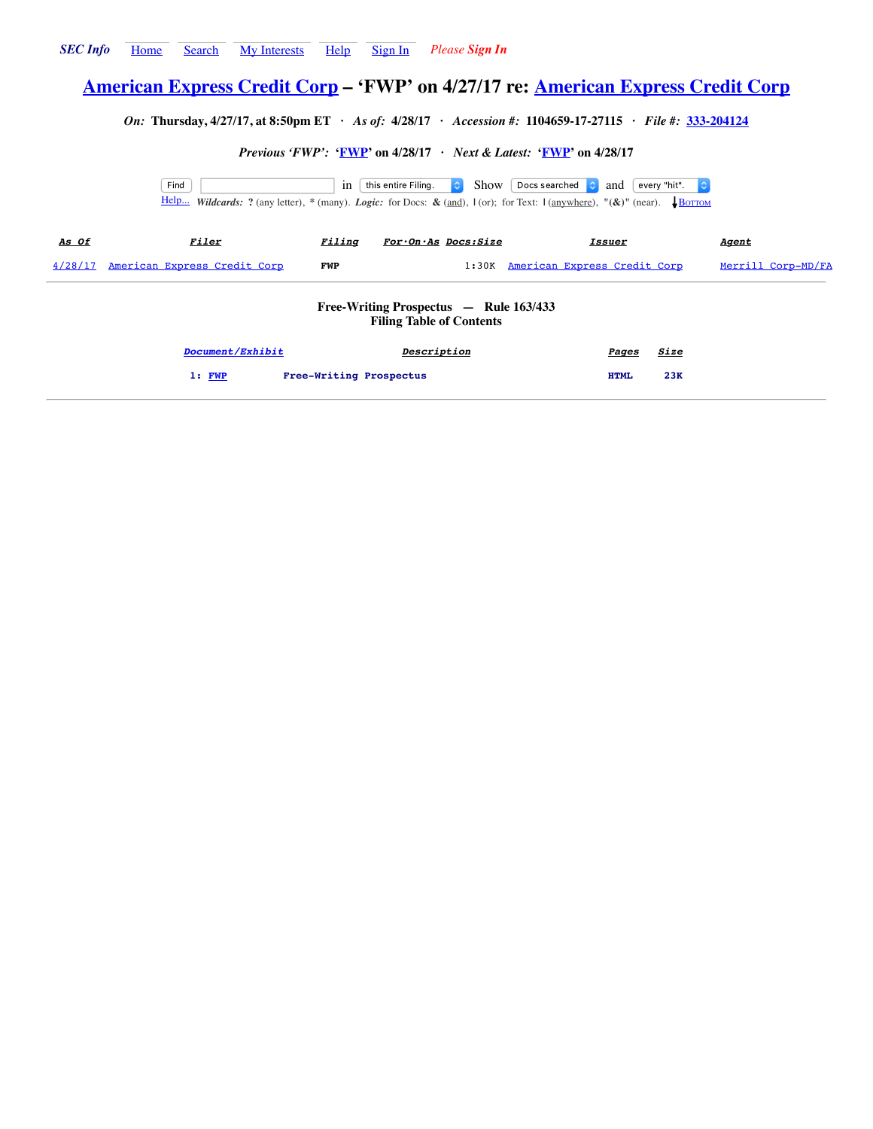# <span id="page-0-0"></span>**[American Express Credit Corp](http://www.secinfo.com/$/SEC/Registrant.asp?CIK=4969) – 'FWP' on 4/27/17 re: [American Express Credit Corp](http://www.secinfo.com/$/SEC/Registrant.asp?CIK=4969)**

*On:* **Thursday, 4/27/17, at 8:50pm ET ·** *As of:* **4/28/17 ·** *Accession #:* **1104659-17-27115 ·** *File #:* **[333-204124](http://www.secinfo.com/$/SEC/File.asp?Number=333-204124)**

*Previous 'FWP':* **['FWP](http://www.secinfo.com/d11MXs.kqF5.htm)' on 4/28/17 ·** *Next & Latest:* **['FWP](http://www.secinfo.com/d11MXs.kqfv.htm)' on 4/28/17**

Find **in this entire Filing.** Show Docs searched **a** and every "hit".  $\circ$ [Help...](http://www.secinfo.com/$/Help.asp?Topic=Find) *Wildcards:* **?** (any letter), **\*** (many). *Logic:* for Docs: **&** (and), **|** (or); for Text: **|** (anywhere), **"(&)"** (near). ↓B[OTTOM](#page-3-0)

| <u>As Of</u> | <u>Filer</u>                         | Filing     | $For \cdot On \cdot As$ $Docs: Size$ | Issuer                             | <u>Aqent</u>       |
|--------------|--------------------------------------|------------|--------------------------------------|------------------------------------|--------------------|
|              | 4/28/17 American Express Credit Corp | <b>FWP</b> |                                      | 1:30K American Express Credit Corp | Merrill Corp-MD/FA |
|              |                                      |            |                                      |                                    |                    |

## **Free-Writing Prospectus — Rule 163/433 Filing Table of Contents**

| Document/Exhibit | Description             | Pages       | <u>Size</u> |
|------------------|-------------------------|-------------|-------------|
| 1: FWP           | Free-Writing Prospectus | <b>HTML</b> | 23K         |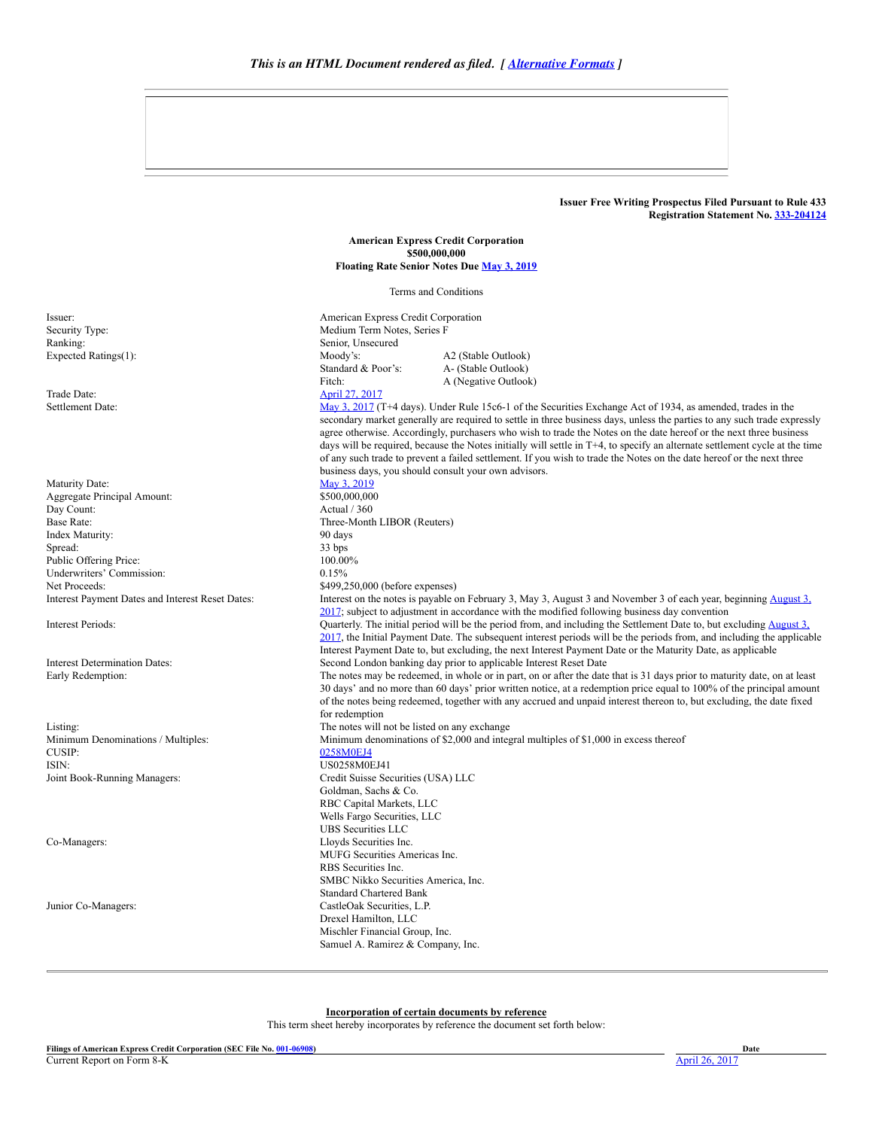## **Issuer Free Writing Prospectus Filed Pursuant to Rule 433 Registration Statement No. [333204124](http://www.secinfo.com/$/SEC/File.asp?Number=333-204124)**

**American Express Credit Corporation \$500,000,000 Floating Rate Senior Notes Due May 3, [2019](#page-3-1)**

Terms and Conditions

<span id="page-1-0"></span>Issuer: American Express Credit Corporation Security Type: Medium Term Notes, Series F Standard & Poor's: Fitch: A2 (Stable Outlook) A- (Stable Outlook) A (Negative Outlook)

Settlement Date: May 3, [2017](#page-3-1) (T+4 days). Under Rule 15c6-1 of the Securities Exchange Act of 1934, as amended, trades in the secondary market generally are required to settle in three business days, unless the parties to any such trade expressly agree otherwise. Accordingly, purchasers who wish to trade the Notes on the date hereof or the next three business days will be required, because the Notes initially will settle in T+4, to specify an alternate settlement cycle at the time of any such trade to prevent a failed settlement. If you wish to trade the Notes on the date hereof or the next three business days, you should consult your own advisors.

## Interest on the notes is payable on February 3, May 3, August 3 and November 3 of each year, beginning August 3, 2017; subject to adjustment in [accordance](#page-3-1) with the modified following business day convention Interest Periods: Quarterly. The initial period will be the period from, and including the Settlement Date to, but excluding August 3, 2017, the Initial Payment Date. The [subsequent](#page-3-1) interest periods will be the periods from, and including the applicable Interest Payment Date to, but excluding, the next Interest Payment Date or the Maturity Date, as applicable Interest Determination Dates: Second London banking day prior to applicable Interest Reset Date Early Redemption: The notes may be redeemed, in whole or in part, on or after the date that is 31 days prior to maturity date, on at least 30 days' and no more than 60 days' prior written notice, at a redemption price equal to 100% of the principal amount of the notes being redeemed, together with any accrued and unpaid interest thereon to, but excluding, the date fixed for redemption Listing: The notes will not be listed on any exchange Minimum Denominations / Multiples: Minimum denominations of \$2,000 and integral multiples of \$1,000 in excess thereof CUSIP: US0258M0EJ41 Joint BookRunning Managers: Credit Suisse Securities (USA) LLC Goldman, Sachs & Co. RBC Capital Markets, LLC Wells Fargo Securities, LLC UBS Securities LLC Co-Managers: Lloyds Securities Inc. MUFG Securities Americas Inc. RBS Securities Inc. SMBC Nikko Securities America, Inc. Standard Chartered Bank Junior Co-Managers: CastleOak Securities, L.P. Drexel Hamilton, LLC Mischler Financial Group, Inc. Samuel A. Ramirez & Company, Inc.

### **Incorporation of certain documents by reference**

This term sheet hereby incorporates by reference the document set forth below:

Ranking: Senior, Unsecured<br>
Expected Ratings(1): Senior, Moody's: Moody's: Expected Ratings(1):

Trade Date: [April](#page-3-1) 27, 2017

Maturity Date: May 3, [2019](#page-3-1) Aggregate Principal Amount: \$500,000,000<br>Day Count: \$600,000,000 Actual / 360 Day Count: Base Rate: Three-Month LIBOR (Reuters) Index Maturity: 90 days Spread: 33 bps 33 bps 33 bps 33 bps 33 bps 34 bps 35 bps 35 bps 35 bps 35 bps 35 bps 35 bps 36 bps 36 bps 36 bps 36 bps 36 bps 36 bps 36 bps 36 bps 36 bps 36 bps 36 bps 36 bps 36 bps 36 bps 36 bps 36 bps 36 bps 36 bps 36 b Public Offering Price: 100.00<br>
Underwriters' Commission: 100.00 Underwriters' Commission: Net Proceeds:<br>
1999,250,000 (before expenses)<br>
1999,250,000 (before expenses)<br>
1999,250,000 (before expenses)

CUSIP: [0258M0EJ4](http://www.secinfo.com/$/SEC/CUSIP.asp?Issue=0258M0EJ4)<br>ISIN: 0258M0EJ4<br>US0258M0I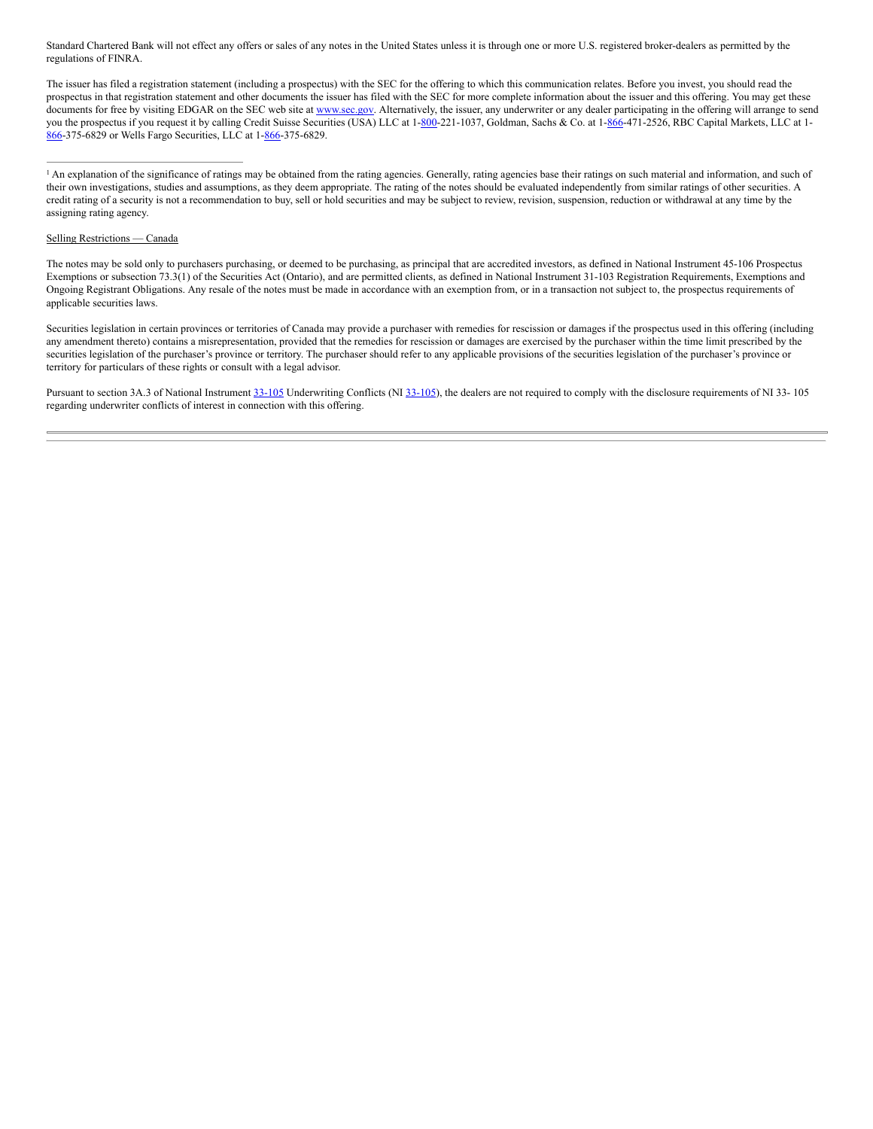Standard Chartered Bank will not effect any offers or sales of any notes in the United States unless it is through one or more U.S. registered broker-dealers as permitted by the regulations of FINRA.

The issuer has filed a registration statement (including a prospectus) with the SEC for the offering to which this communication relates. Before you invest, you should read the prospectus in that registration statement and other documents the issuer has filed with the SEC for more complete information about the issuer and this offering. You may get these documents for free by visiting EDGAR on the SEC web site at [www.sec.gov](http://www.sec.gov/). Alternatively, the issuer, any underwriter or any dealer participating in the offering will arrange to send you the prospectus if you request it by calling Credit Suisse Securities (USA) LLC at 1-[800](http://www.secinfo.com/$/SEC/Registrants.asp?Area=800)-221-1037, Goldman, Sachs & Co. at 1-[866](http://www.secinfo.com/$/SEC/Registrants.asp?Area=866)-471-2526, RBC Capital Markets, LLC at 1-[866](http://www.secinfo.com/$/SEC/Registrants.asp?Area=866)-375-6829 or Wells Fargo Securities, LLC at 1-866-375-6829.

#### Selling Restrictions — Canada

The notes may be sold only to purchasers purchasing, or deemed to be purchasing, as principal that are accredited investors, as defined in National Instrument 45106 Prospectus Exemptions or subsection 73.3(1) of the Securities Act (Ontario), and are permitted clients, as defined in National Instrument 31-103 Registration Requirements, Exemptions and Ongoing Registrant Obligations. Any resale of the notes must be made in accordance with an exemption from, or in a transaction not subject to, the prospectus requirements of applicable securities laws.

Securities legislation in certain provinces or territories of Canada may provide a purchaser with remedies for rescission or damages if the prospectus used in this offering (including any amendment thereto) contains a misrepresentation, provided that the remedies for rescission or damages are exercised by the purchaser within the time limit prescribed by the securities legislation of the purchaser's province or territory. The purchaser should refer to any applicable provisions of the securities legislation of the purchaser's province or territory for particulars of these rights or consult with a legal advisor.

Pursuant to section 3A.3 of National Instrument 33-105 Underwriting Conflicts (NI 33-105), the dealers are not required to comply with the disclosure requirements of NI 33-105 regarding underwriter conflicts of interest in connection with this offering.

<sup>&</sup>lt;sup>1</sup> An explanation of the significance of ratings may be obtained from the rating agencies. Generally, rating agencies base their ratings on such material and information, and such of their own investigations, studies and assumptions, as they deem appropriate. The rating of the notes should be evaluated independently from similar ratings of other securities. A credit rating of a security is not a recommendation to buy, sell or hold securities and may be subject to review, revision, suspension, reduction or withdrawal at any time by the assigning rating agency.